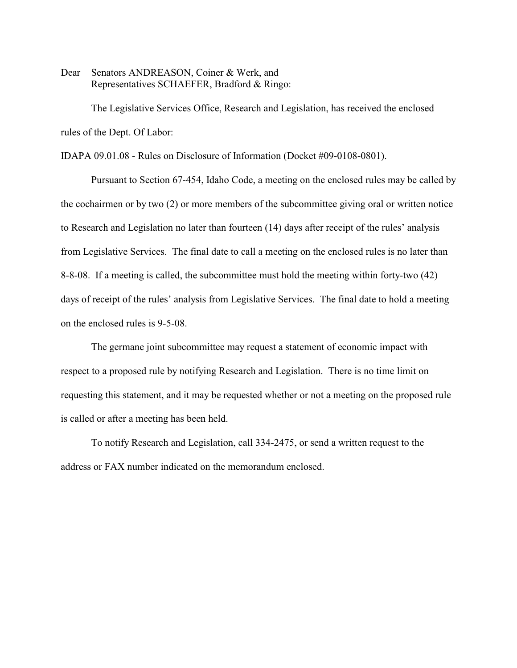Dear Senators ANDREASON, Coiner & Werk, and Representatives SCHAEFER, Bradford & Ringo:

The Legislative Services Office, Research and Legislation, has received the enclosed rules of the Dept. Of Labor:

IDAPA 09.01.08 - Rules on Disclosure of Information (Docket #09-0108-0801).

Pursuant to Section 67-454, Idaho Code, a meeting on the enclosed rules may be called by the cochairmen or by two (2) or more members of the subcommittee giving oral or written notice to Research and Legislation no later than fourteen (14) days after receipt of the rules' analysis from Legislative Services. The final date to call a meeting on the enclosed rules is no later than 8-8-08. If a meeting is called, the subcommittee must hold the meeting within forty-two (42) days of receipt of the rules' analysis from Legislative Services. The final date to hold a meeting on the enclosed rules is 9-5-08.

The germane joint subcommittee may request a statement of economic impact with respect to a proposed rule by notifying Research and Legislation. There is no time limit on requesting this statement, and it may be requested whether or not a meeting on the proposed rule is called or after a meeting has been held.

To notify Research and Legislation, call 334-2475, or send a written request to the address or FAX number indicated on the memorandum enclosed.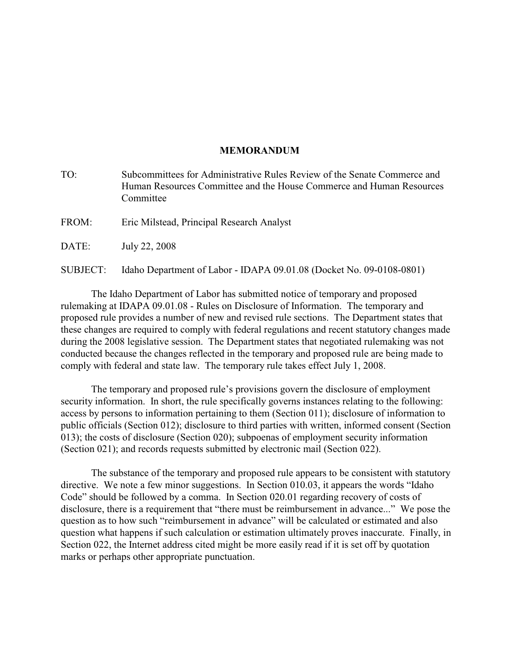## **MEMORANDUM**

- TO: Subcommittees for Administrative Rules Review of the Senate Commerce and Human Resources Committee and the House Commerce and Human Resources Committee
- FROM: Eric Milstead, Principal Research Analyst
- DATE: July 22, 2008

SUBJECT: Idaho Department of Labor - IDAPA 09.01.08 (Docket No. 09-0108-0801)

The Idaho Department of Labor has submitted notice of temporary and proposed rulemaking at IDAPA 09.01.08 - Rules on Disclosure of Information. The temporary and proposed rule provides a number of new and revised rule sections. The Department states that these changes are required to comply with federal regulations and recent statutory changes made during the 2008 legislative session. The Department states that negotiated rulemaking was not conducted because the changes reflected in the temporary and proposed rule are being made to comply with federal and state law. The temporary rule takes effect July 1, 2008.

The temporary and proposed rule's provisions govern the disclosure of employment security information. In short, the rule specifically governs instances relating to the following: access by persons to information pertaining to them (Section 011); disclosure of information to public officials (Section 012); disclosure to third parties with written, informed consent (Section 013); the costs of disclosure (Section 020); subpoenas of employment security information (Section 021); and records requests submitted by electronic mail (Section 022).

The substance of the temporary and proposed rule appears to be consistent with statutory directive. We note a few minor suggestions. In Section 010.03, it appears the words "Idaho" Code" should be followed by a comma. In Section 020.01 regarding recovery of costs of disclosure, there is a requirement that "there must be reimbursement in advance..." We pose the question as to how such "reimbursement in advance" will be calculated or estimated and also question what happens if such calculation or estimation ultimately proves inaccurate. Finally, in Section 022, the Internet address cited might be more easily read if it is set off by quotation marks or perhaps other appropriate punctuation.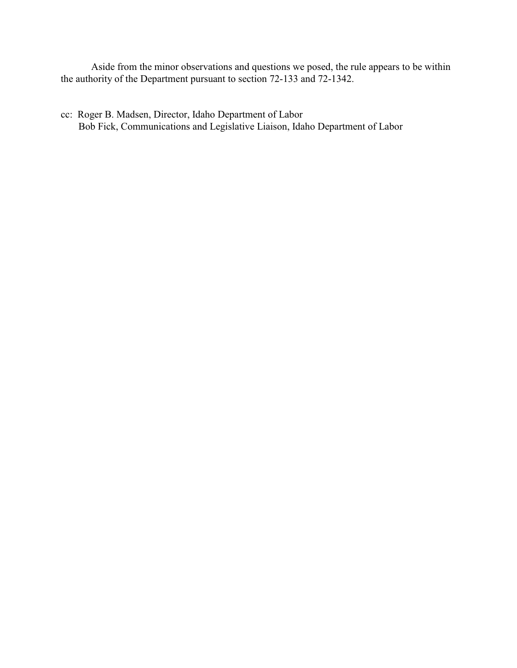Aside from the minor observations and questions we posed, the rule appears to be within the authority of the Department pursuant to section 72-133 and 72-1342.

cc: Roger B. Madsen, Director, Idaho Department of Labor Bob Fick, Communications and Legislative Liaison, Idaho Department of Labor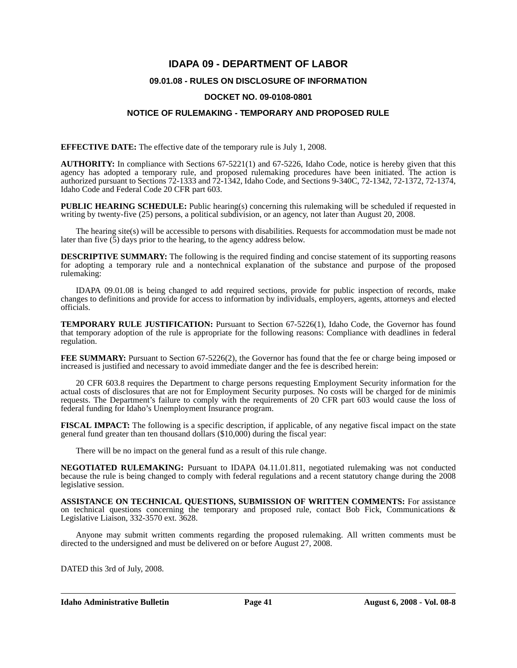# **IDAPA 09 - DEPARTMENT OF LABOR**

## **09.01.08 - RULES ON DISCLOSURE OF INFORMATION**

## **DOCKET NO. 09-0108-0801**

## **NOTICE OF RULEMAKING - TEMPORARY AND PROPOSED RULE**

**EFFECTIVE DATE:** The effective date of the temporary rule is July 1, 2008.

**AUTHORITY:** In compliance with Sections 67-5221(1) and 67-5226, Idaho Code, notice is hereby given that this agency has adopted a temporary rule, and proposed rulemaking procedures have been initiated. The action is authorized pursuant to Sections 72-1333 and 72-1342, Idaho Code, and Sections 9-340C, 72-1342, 72-1372, 72-1374, Idaho Code and Federal Code 20 CFR part 603.

**PUBLIC HEARING SCHEDULE:** Public hearing(s) concerning this rulemaking will be scheduled if requested in writing by twenty-five (25) persons, a political subdivision, or an agency, not later than August 20, 2008.

The hearing site(s) will be accessible to persons with disabilities. Requests for accommodation must be made not later than five (5) days prior to the hearing, to the agency address below.

**DESCRIPTIVE SUMMARY:** The following is the required finding and concise statement of its supporting reasons for adopting a temporary rule and a nontechnical explanation of the substance and purpose of the proposed rulemaking:

IDAPA 09.01.08 is being changed to add required sections, provide for public inspection of records, make changes to definitions and provide for access to information by individuals, employers, agents, attorneys and elected officials.

**TEMPORARY RULE JUSTIFICATION:** Pursuant to Section 67-5226(1), Idaho Code, the Governor has found that temporary adoption of the rule is appropriate for the following reasons: Compliance with deadlines in federal regulation.

**FEE SUMMARY:** Pursuant to Section 67-5226(2), the Governor has found that the fee or charge being imposed or increased is justified and necessary to avoid immediate danger and the fee is described herein:

20 CFR 603.8 requires the Department to charge persons requesting Employment Security information for the actual costs of disclosures that are not for Employment Security purposes. No costs will be charged for de minimis requests. The Department's failure to comply with the requirements of 20 CFR part 603 would cause the loss of federal funding for Idaho's Unemployment Insurance program.

**FISCAL IMPACT:** The following is a specific description, if applicable, of any negative fiscal impact on the state general fund greater than ten thousand dollars (\$10,000) during the fiscal year:

There will be no impact on the general fund as a result of this rule change.

**NEGOTIATED RULEMAKING:** Pursuant to IDAPA 04.11.01.811, negotiated rulemaking was not conducted because the rule is being changed to comply with federal regulations and a recent statutory change during the 2008 legislative session.

**ASSISTANCE ON TECHNICAL QUESTIONS, SUBMISSION OF WRITTEN COMMENTS:** For assistance on technical questions concerning the temporary and proposed rule, contact Bob Fick, Communications & Legislative Liaison, 332-3570 ext. 3628.

Anyone may submit written comments regarding the proposed rulemaking. All written comments must be directed to the undersigned and must be delivered on or before August 27, 2008.

DATED this 3rd of July, 2008.

**Idaho Administrative Bulletin Page 41 August 6, 2008 - Vol. 08-8**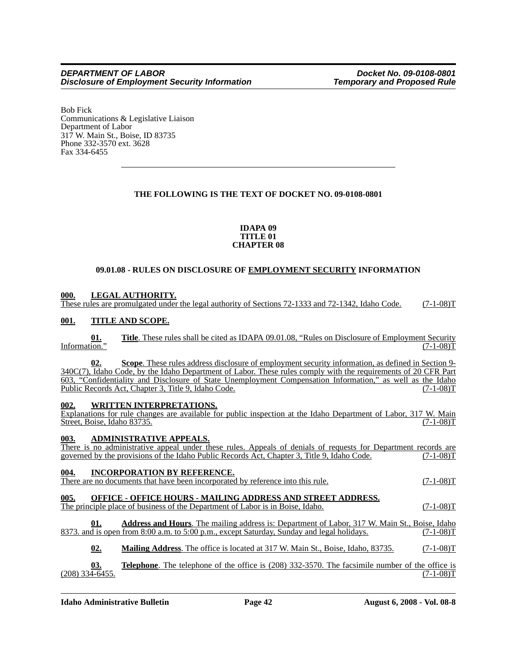Bob Fick Communications & Legislative Liaison Department of Labor 317 W. Main St., Boise, ID 83735 Phone 332-3570 ext. 3628 Fax 334-6455

## **THE FOLLOWING IS THE TEXT OF DOCKET NO. 09-0108-0801**

#### **IDAPA 09 TITLE 01 CHAPTER 08**

## **09.01.08 - RULES ON DISCLOSURE OF EMPLOYMENT SECURITY INFORMATION**

## **000. LEGAL AUTHORITY.**

These rules are promulgated under the legal authority of Sections 72-1333 and 72-1342, Idaho Code. (7-1-08)T

## **001. TITLE AND SCOPE.**

**Title**. These rules shall be cited as IDAPA 09.01.08, "Rules on Disclosure of Employment Security (7-1-08) Information."

**02. Scope**. These rules address disclosure of employment security information, as defined in Section 9- 340C(7), Idaho Code, by the Idaho Department of Labor. These rules comply with the requirements of 20 CFR Part 603, "Confidentiality and Disclosure of State Unemployment Compensation Information," as well as the Idaho Public Records Act, Chapter 3, Title 9, Idaho Code.

### **002. WRITTEN INTERPRETATIONS.**

Explanations for rule changes are available for public inspection at the Idaho Department of Labor, 317 W. Main Street. Boise. Idaho 83735. (7-1-08) Street, Boise, Idaho 83735.

## **003. ADMINISTRATIVE APPEALS.**

There is no administrative appeal under these rules. Appeals of denials of requests for Department records are governed by the provisions of the Idaho Public Records Act, Chapter 3, Title 9, Idaho Code. (7-1-08)T

## **004. INCORPORATION BY REFERENCE.**

There are no documents that have been incorporated by reference into this rule. (7-1-08)T

# **005. OFFICE - OFFICE HOURS - MAILING ADDRESS AND STREET ADDRESS.**

The principle place of business of the Department of Labor is in Boise, Idaho. (7-1-08)T

**01. Address and Hours**. The mailing address is: Department of Labor, 317 W. Main St., Boise, Idaho 8373. and is open from 8:00 a.m. to 5:00 p.m., except Saturday, Sunday and legal holidays. (7-1-08)T

**02. Mailing Address**. The office is located at 317 W. Main St., Boise, Idaho, 83735. (7-1-08)T

**03. Telephone**. The telephone of the office is (208) 332-3570. The facsimile number of the office is  $(208)$  334-6455. (7-1-08)T

**Idaho Administrative Bulletin Page 42 August 6, 2008 - Vol. 08-8**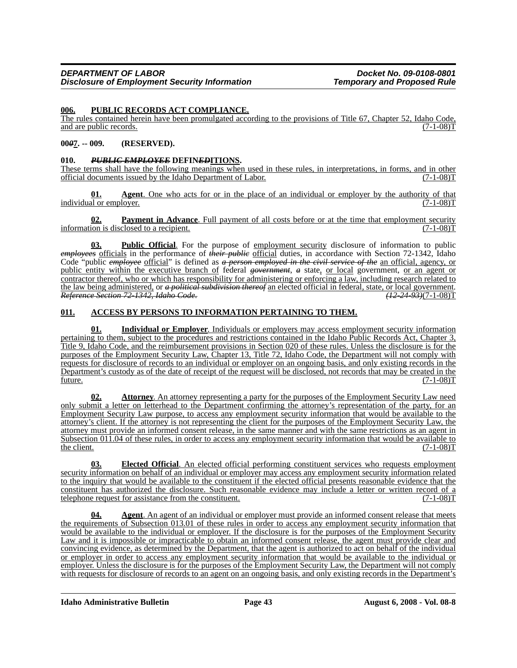#### **006. PUBLIC RECORDS ACT COMPLIANCE.**

The rules contained herein have been promulgated according to the provisions of Title 67, Chapter 52, Idaho Code, and are public records. (7-1-08) and are public records.

#### **00***0***7. -- 009. (RESERVED).**

#### **010.** *PUBLIC EMPLOYEE* **DEFIN***ED***ITIONS.**

These terms shall have the following meanings when used in these rules, in interpretations, in forms, and in other official documents issued by the Idaho Department of Labor. (7-1-08)T

**<u>Agent</u>**. One who acts for or in the place of an individual or employer by the authority of that lover. (7-1-08) individual or employer.

**02. Payment in Advance**. Full payment of all costs before or at the time that employment security ion is disclosed to a recipient. (7-1-08)  $information$  is disclosed to a recipient.

**03. Public Official**. For the purpose of employment security disclosure of information to public *employees* officials in the performance of *their public* official duties, in accordance with Section 72-1342, Idaho Code "public *employee* official" is defined as *a person employed in the civil service of the* an official, agency, or public entity within the executive branch of federal *government*, *a* state, or local government, or an agent or contractor thereof, who or which has responsibility for administering or enforcing a law, including research related to the law being administered, or *a political subdivision thereof* an elected official in federal, state, or local government. *Reference Section 72-1342, Idaho Code.* 

#### **011. ACCESS BY PERSONS TO INFORMATION PERTAINING TO THEM.**

**01. Individual or Employer**. Individuals or employers may access employment security information pertaining to them, subject to the procedures and restrictions contained in the Idaho Public Records Act, Chapter 3, Title 9, Idaho Code, and the reimbursement provisions in Section 020 of these rules. Unless the disclosure is for the purposes of the Employment Security Law, Chapter 13, Title 72, Idaho Code, the Department will not comply with requests for disclosure of records to an individual or employer on an ongoing basis, and only existing records in the Department's custody as of the date of receipt of the request will be disclosed, not records that may be created in the  $f$ uture.  $(7-1-08)$ T

**02. Attorney**. An attorney representing a party for the purposes of the Employment Security Law need only submit a letter on letterhead to the Department confirming the attorney's representation of the party, for an Employment Security Law purpose, to access any employment security information that would be available to the attorney's client. If the attorney is not representing the client for the purposes of the Employment Security Law, the attorney must provide an informed consent release, in the same manner and with the same restrictions as an agent in Subsection 011.04 of these rules, in order to access any employment security information that would be available to  $\frac{\text{the client.}}{\text{(7-1-08)}}$ 

**03. Elected Official**. An elected official performing constituent services who requests employment security information on behalf of an individual or employer may access any employment security information related to the inquiry that would be available to the constituent if the elected official presents reasonable evidence that the constituent has authorized the disclosure. Such reasonable evidence may include a letter or written record of a telephone request for assistance from the constituent. (7-1-08)T

**04. Agent**. An agent of an individual or employer must provide an informed consent release that meets the requirements of Subsection 013.01 of these rules in order to access any employment security information that would be available to the individual or employer. If the disclosure is for the purposes of the Employment Security Law and it is impossible or impracticable to obtain an informed consent release, the agent must provide clear and convincing evidence, as determined by the Department, that the agent is authorized to act on behalf of the individual or employer in order to access any employment security information that would be available to the individual or employer. Unless the disclosure is for the purposes of the Employment Security Law, the Department will not comply with requests for disclosure of records to an agent on an ongoing basis, and only existing records in the Department's

**Idaho Administrative Bulletin Page 43 August 6, 2008 - Vol. 08-8**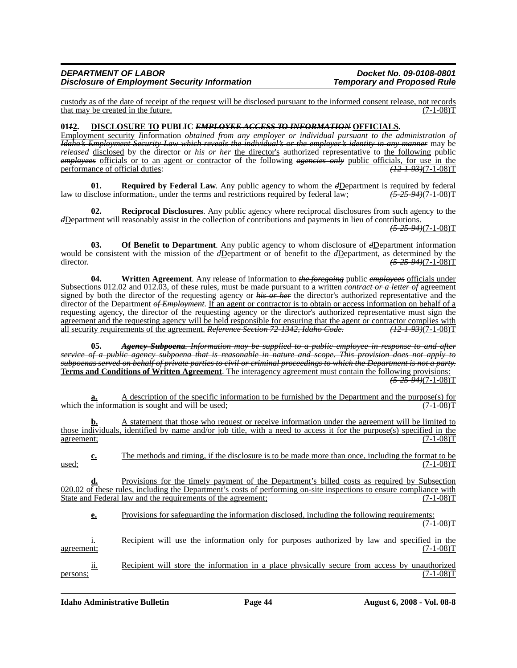### *DEPARTMENT OF LABOR Docket No. 09-0108-0801 Disclosure of Employment Security Information*

custody as of the date of receipt of the request will be disclosed pursuant to the informed consent release, not records that may be created in the future.

#### **01***1***2. DISCLOSURE TO PUBLIC** *EMPLOYEE ACCESS TO INFORMATION* **OFFICIALS.**

Employment security *I*information *obtained from any employer or individual pursuant to the administration of Idaho's Employment Security Law which reveals the individual's or the employer's identity in any manner* may be *released* disclosed by the director or *his or her* the director's authorized representative to the following public *employees* officials or to an agent or contractor of the following *agencies only* public officials, for use in the performance of official duties: *(12-1-93)*(7-1-08)T

**01. Required by Federal Law**. Any public agency to whom the  $dD$ epartment is required by federal sclose information<sub>r</sub>, under the terms and restrictions required by federal law;  $(5-25-94)(7-1-08)T$ law to disclose information., under the terms and restrictions required by federal law;

**Reciprocal Disclosures**. Any public agency where reciprocal disclosures from such agency to the *d*Department will reasonably assist in the collection of contributions and payments in lieu of contributions.

*(5-25-94)*(7-1-08)T

**03.** Of Benefit to Department. Any public agency to whom disclosure of  $dD$ epartment information would be consistent with the mission of the *d*Department or of benefit to the *d*Department, as determined by the director. *(5-25-94)*(7-1-08)T

**04. Written Agreement**. Any release of information to *the foregoing* public *employees* officials under Subsections 012.02 and 012.03, of these rules, must be made pursuant to a written *contract or a letter of* agreement signed by both the director of the requesting agency or *his or her* the director's authorized representative and the director of the Department *of Employment*. If an agent or contractor is to obtain or access information on behalf of a requesting agency, the director of the requesting agency or the director's authorized representative must sign the agreement and the requesting agency will be held responsible for ensuring that the agent or contractor complies with all security requirements of the agreement. *Reference Section 72-1342, Idaho Code. (12-1-93)*(7-1-08)T

**05.** *Agency Subpoena. Information may be supplied to a public employee in response to and after service of a public agency subpoena that is reasonable in nature and scope. This provision does not apply to subpoenas served on behalf of private parties to civil or criminal proceedings to which the Department is not a party.* **Terms and Conditions of Written Agreement**. The interagency agreement must contain the following provisions: *(5-25-94)*(7-1-08)T

**a.** A description of the specific information to be furnished by the Department and the purpose(s) for e information is sought and will be used; which the information is sought and will be used;

**b.** A statement that those who request or receive information under the agreement will be limited to those individuals, identified by name and/or job title, with a need to access it for the purpose(s) specified in the  $\frac{\text{agreement:}}{\text{ggreenent:}}$ 

**c.** The methods and timing, if the disclosure is to be made more than once, including the format to be  $(7-1-08)T$  $\frac{\text{used}}{\text{1}}$  (7-1-08)T

**d.** Provisions for the timely payment of the Department's billed costs as required by Subsection 020.02 of these rules, including the Department's costs of performing on-site inspections to ensure compliance with State and Federal law and the requirements of the agreement; (7-1-08)T

**e.** Provisions for safeguarding the information disclosed, including the following requirements:  $(7-1-08)T$ 

i. Recipient will use the information only for purposes authorized by law and specified in the  $\frac{1}{2}$  agreement; (7-1-08)T

ii. Recipient will store the information in a place physically secure from access by unauthorized persons;  $(7-1-08)T$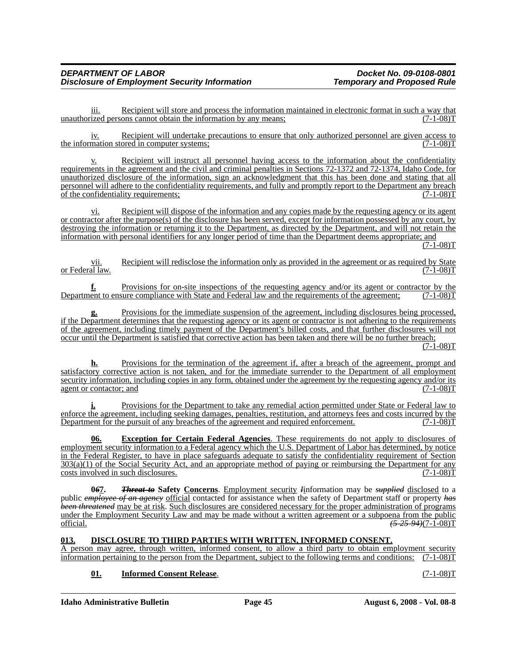iii. Recipient will store and process the information maintained in electronic format in such a way that unauthorized persons cannot obtain the information by any means; (7-1-08)T

 $\underline{iv}$ . Recipient will undertake precautions to ensure that only authorized personnel are given access to mation stored in computer systems; the information stored in computer systems;

v. Recipient will instruct all personnel having access to the information about the confidentiality requirements in the agreement and the civil and criminal penalties in Sections 72-1372 and 72-1374, Idaho Code, for unauthorized disclosure of the information, sign an acknowledgment that this has been done and stating that all personnel will adhere to the confidentiality requirements, and fully and promptly report to the Department any breach of the confidentiality requirements;<br>(7-1-08) of the confidentiality requirements;

Recipient will dispose of the information and any copies made by the requesting agency or its agent or contractor after the purpose(s) of the disclosure has been served, except for information possessed by any court, by destroying the information or returning it to the Department, as directed by the Department, and will not retain the information with personal identifiers for any longer period of time than the Department deems appropriate; and

 $(7-1-08)T$ 

<u>vii.</u> Recipient will redisclose the information only as provided in the agreement or as required by State al law.  $(7-1-08)T$ or Federal law.

**f.** Provisions for on-site inspections of the requesting agency and/or its agent or contractor by the Department to ensure compliance with State and Federal law and the requirements of the agreement; (7-1-08)T

Provisions for the immediate suspension of the agreement, including disclosures being processed, if the Department determines that the requesting agency or its agent or contractor is not adhering to the requirements of the agreement, including timely payment of the Department's billed costs, and that further disclosures will not occur until the Department is satisfied that corrective action has been taken and there will be no further breach;

 $(7-1-08)T$ 

**h.** Provisions for the termination of the agreement if, after a breach of the agreement, prompt and satisfactory corrective action is not taken, and for the immediate surrender to the Department of all employment security information, including copies in any form, obtained under the agreement by the requesting agency and/or its agent or contactor; and  $(7-1-08)T$ agent or contactor; and

**i.** Provisions for the Department to take any remedial action permitted under State or Federal law to enforce the agreement, including seeking damages, penalties, restitution, and attorneys fees and costs incurred by the Department for the pursuit of any breaches of the agreement and required enforcement. (7-1-08)T

**Exception for Certain Federal Agencies**. These requirements do not apply to disclosures of employment security information to a Federal agency which the U.S. Department of Labor has determined, by notice in the Federal Register, to have in place safeguards adequate to satisfy the confidentiality requirement of Section  $303(a)(1)$  of the Social Security Act, and an appropriate method of paying or reimbursing the Department for any costs involved in such disclosures. (7-1-08)T

**0***6***7.** *Threat to* **Safety Concerns**. Employment security *I*information may be *supplied* disclosed to a public *employee of an agency* official contacted for assistance when the safety of Department staff or property *has been threatened* may be at risk. Such disclosures are considered necessary for the proper administration of programs under the Employment Security Law and may be made without a written agreement or a subpoena from the public official.<br>  $(5-25-94)(7-1-08)T$ official. *(5-25-94)*(7-1-08)T

### **013. DISCLOSURE TO THIRD PARTIES WITH WRITTEN, INFORMED CONSENT.**

A person may agree, through written, informed consent, to allow a third party to obtain employment security information pertaining to the person from the Department, subject to the following terms and conditions: (7-1-08)T

## **01. Informed Consent Release**. (7-1-08)T

**Idaho Administrative Bulletin Page 45 August 6, 2008 - Vol. 08-8**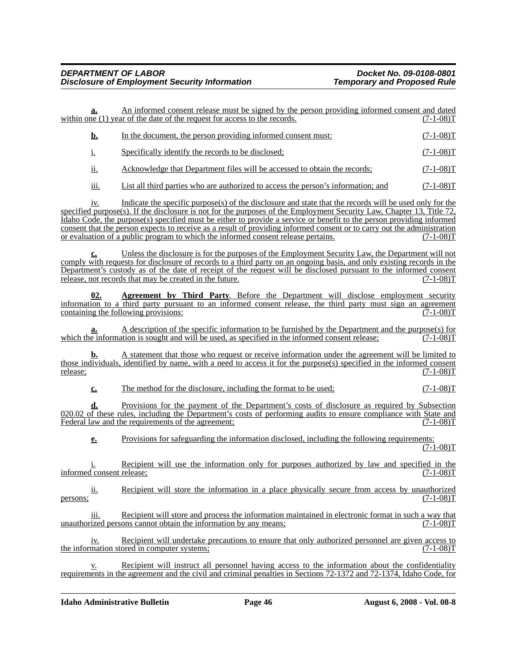|                           | a.                         | An informed consent release must be signed by the person providing informed consent and dated<br>within one $(1)$ year of the date of the request for access to the records.                                                                                                                                                                                                                                                                                                                                                                                             | $(7-1-08)T$      |
|---------------------------|----------------------------|--------------------------------------------------------------------------------------------------------------------------------------------------------------------------------------------------------------------------------------------------------------------------------------------------------------------------------------------------------------------------------------------------------------------------------------------------------------------------------------------------------------------------------------------------------------------------|------------------|
|                           | <u>b.</u>                  | In the document, the person providing informed consent must:                                                                                                                                                                                                                                                                                                                                                                                                                                                                                                             | $(7-1-08)T$      |
| i.                        |                            | Specifically identify the records to be disclosed;                                                                                                                                                                                                                                                                                                                                                                                                                                                                                                                       | $(7-1-08)T$      |
|                           | ii.                        | Acknowledge that Department files will be accessed to obtain the records;                                                                                                                                                                                                                                                                                                                                                                                                                                                                                                | $(7-1-08)T$      |
|                           | iii.                       | List all third parties who are authorized to access the person's information; and                                                                                                                                                                                                                                                                                                                                                                                                                                                                                        | $(7-1-08)T$      |
|                           | 1V.                        | Indicate the specific purpose(s) of the disclosure and state that the records will be used only for the<br>specified purpose(s). If the disclosure is not for the purposes of the Employment Security Law, Chapter 13, Title 72,<br>Idaho Code, the purpose(s) specified must be either to provide a service or benefit to the person providing informed<br>consent that the person expects to receive as a result of providing informed consent or to carry out the administration<br>or evaluation of a public program to which the informed consent release pertains. | $(7-1-08)T$      |
|                           | c.                         | Unless the disclosure is for the purposes of the Employment Security Law, the Department will not<br>comply with requests for disclosure of records to a third party on an ongoing basis, and only existing records in the<br>Department's custody as of the date of receipt of the request will be disclosed pursuant to the informed consent<br>release, not records that may be created in the future.                                                                                                                                                                | $(7-1-08)T$      |
|                           | 02.                        | <b>Agreement by Third Party.</b> Before the Department will disclose employment security<br>information to a third party pursuant to an informed consent release, the third party must sign an agreement<br>containing the following provisions:                                                                                                                                                                                                                                                                                                                         | $(7 - 1 - 08)$ T |
|                           | а.                         | A description of the specific information to be furnished by the Department and the purpose(s) for<br>which the information is sought and will be used, as specified in the informed consent release;                                                                                                                                                                                                                                                                                                                                                                    | $(7-1-08)T$      |
| release;                  |                            | A statement that those who request or receive information under the agreement will be limited to<br>those individuals, identified by name, with a need to access it for the purpose(s) specified in the informed consent                                                                                                                                                                                                                                                                                                                                                 | $(7-1-08)T$      |
|                           | $\underline{\mathbf{c}}$ . | The method for the disclosure, including the format to be used;                                                                                                                                                                                                                                                                                                                                                                                                                                                                                                          | $(7-1-08)T$      |
|                           | d.                         | Provisions for the payment of the Department's costs of disclosure as required by Subsection<br>020.02 of these rules, including the Department's costs of performing audits to ensure compliance with State and<br>Federal law and the requirements of the agreement;                                                                                                                                                                                                                                                                                                   | $(7-1-08)T$      |
|                           | $\underline{\mathbf{e}}$ . | Provisions for safeguarding the information disclosed, including the following requirements:                                                                                                                                                                                                                                                                                                                                                                                                                                                                             | $(7-1-08)T$      |
| informed consent release; |                            | Recipient will use the information only for purposes authorized by law and specified in the                                                                                                                                                                                                                                                                                                                                                                                                                                                                              | $(7-1-08)T$      |
| persons;                  | <u>ii.</u>                 | Recipient will store the information in a place physically secure from access by unauthorized                                                                                                                                                                                                                                                                                                                                                                                                                                                                            | $(7-1-08)T$      |
|                           | iii.                       | Recipient will store and process the information maintained in electronic format in such a way that<br>unauthorized persons cannot obtain the information by any means;                                                                                                                                                                                                                                                                                                                                                                                                  | $(7-1-08)T$      |
|                           | iv.                        | Recipient will undertake precautions to ensure that only authorized personnel are given access to<br>the information stored in computer systems;                                                                                                                                                                                                                                                                                                                                                                                                                         | $(7-1-08)T$      |
|                           | v.                         | Recipient will instruct all personnel having access to the information about the confidentiality<br>requirements in the agreement and the civil and criminal penalties in Sections 72-1372 and 72-1374, Idaho Code, for                                                                                                                                                                                                                                                                                                                                                  |                  |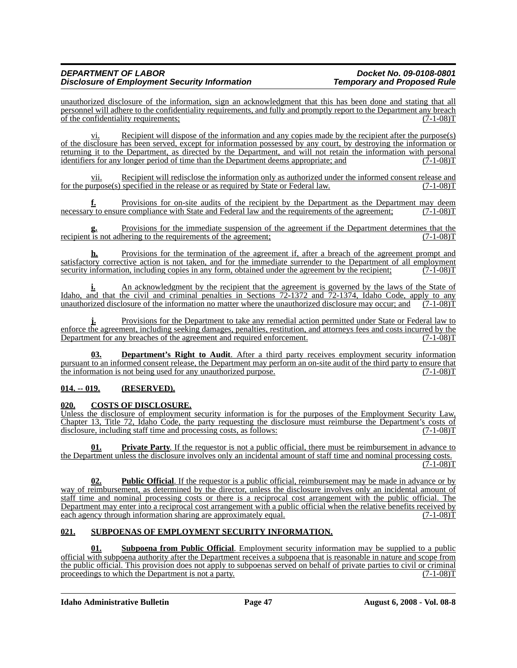## *DEPARTMENT OF LABOR Docket No. 09-0108-0801* **Disclosure of Employment Security Information**

unauthorized disclosure of the information, sign an acknowledgment that this has been done and stating that all personnel will adhere to the confidentiality requirements, and fully and promptly report to the Department any breach of the confidentiality requirements; (7-1-08)T

vi. Recipient will dispose of the information and any copies made by the recipient after the purpose(s) of the disclosure has been served, except for information possessed by any court, by destroying the information or returning it to the Department, as directed by the Department, and will not retain the information with personal<br>identifiers for any longer period of time than the Department deems appropriate; and (7-1-08) identifiers for any longer period of time than the Department deems appropriate; and

<u>vii.</u> Recipient will redisclose the information only as authorized under the informed consent release and urpose(s) specified in the release or as required by State or Federal law.  $(7-1-08)$ T for the purpose $(s)$  specified in the release or as required by State or Federal law.

**f.** Provisions for on-site audits of the recipient by the Department as the Department may deem necessary to ensure compliance with State and Federal law and the requirements of the agreement; (7-1-08)T

Provisions for the immediate suspension of the agreement if the Department determines that the hering to the requirements of the agreement;  $(7-1-08)$ T recipient is not adhering to the requirements of the agreement;

**h.** Provisions for the termination of the agreement if, after a breach of the agreement prompt and satisfactory corrective action is not taken, and for the immediate surrender to the Department of all employment security information, including copies in any form, obtained under the agreement by the recipient: (7-1-08) security information, including copies in any form, obtained under the agreement by the recipient;

**i.** An acknowledgment by the recipient that the agreement is governed by the laws of the State of Idaho, and that the civil and criminal penalties in Sections 72-1372 and 72-1374, Idaho Code, apply to any unauthorized disclosure of the information no matter where the unauthorized disclosure may occur; and (7-1-08)T unauthorized disclosure of the information no matter where the unauthorized disclosure may occur; and

**j.** Provisions for the Department to take any remedial action permitted under State or Federal law to enforce the agreement, including seeking damages, penalties, restitution, and attorneys fees and costs incurred by the Department for any breaches of the agreement and required enforcement. (7-1-08) Department for any breaches of the agreement and required enforcement.

**03. Department's Right to Audit**. After a third party receives employment security information pursuant to an informed consent release, the Department may perform an on-site audit of the third party to ensure that the information is not being used for any unauthorized purpose. (7-1-08)T

## **014. -- 019. (RESERVED).**

### **020. COSTS OF DISCLOSURE.**

Unless the disclosure of employment security information is for the purposes of the Employment Security Law, Chapter 13, Title 72, Idaho Code, the party requesting the disclosure must reimburse the Department's costs of disclosure, including staff time and processing costs, as follows: (7-1-08) disclosure, including staff time and processing costs, as follows:

**Private Party**. If the requestor is not a public official, there must be reimbursement in advance to the Department unless the disclosure involves only an incidental amount of staff time and nominal processing costs.  $(7-1-08)T$ 

**02. Public Official**. If the requestor is a public official, reimbursement may be made in advance or by way of reimbursement, as determined by the director, unless the disclosure involves only an incidental amount of staff time and nominal processing costs or there is a reciprocal cost arrangement with the public official. The Department may enter into a reciprocal cost arrangement with a public official when the relative benefits received by each agency through information sharing are approximately equal.  $(7-1-08)$ each agency through information sharing are approximately equal.

### **021. SUBPOENAS OF EMPLOYMENT SECURITY INFORMATION.**

**01. Subpoena from Public Official**. Employment security information may be supplied to a public official with subpoena authority after the Department receives a subpoena that is reasonable in nature and scope from the public official. This provision does not apply to subpoenas served on behalf of private parties to civil or criminal proceedings to which the Department is not a party. (7-1-08)T